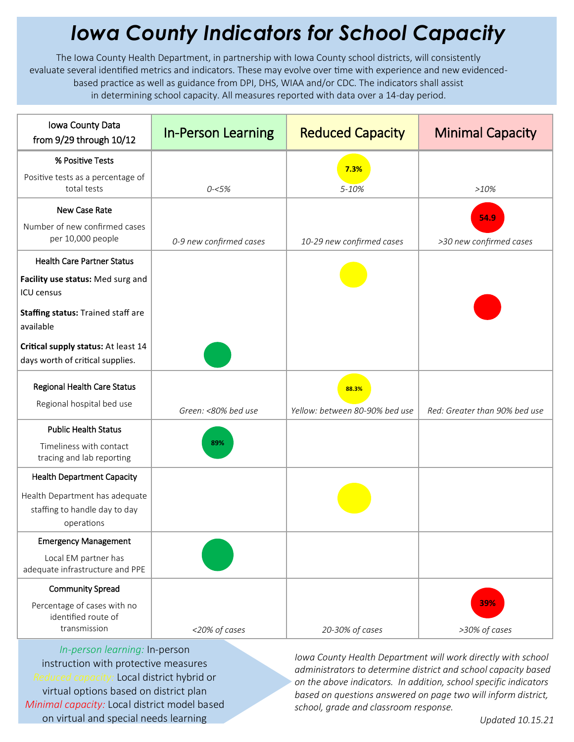## *Iowa County Indicators for School Capacity*

The Iowa County Health Department, in partnership with Iowa County school districts, will consistently evaluate several identified metrics and indicators. These may evolve over time with experience and new evidencedbased practice as well as guidance from DPI, DHS, WIAA and/or CDC. The indicators shall assist in determining school capacity. All measures reported with data over a 14-day period.

| Iowa County Data<br>from 9/29 through 10/12                                         | <b>In-Person Learning</b> | <b>Reduced Capacity</b>        | <b>Minimal Capacity</b>       |
|-------------------------------------------------------------------------------------|---------------------------|--------------------------------|-------------------------------|
| % Positive Tests                                                                    |                           | 7.3%                           |                               |
| Positive tests as a percentage of<br>total tests                                    | $0 - 5%$                  | 5-10%                          | >10%                          |
| New Case Rate                                                                       |                           |                                | 54.9                          |
| Number of new confirmed cases<br>per 10,000 people                                  | 0-9 new confirmed cases   | 10-29 new confirmed cases      | >30 new confirmed cases       |
| <b>Health Care Partner Status</b>                                                   |                           |                                |                               |
| Facility use status: Med surg and<br><b>ICU</b> census                              |                           |                                |                               |
| Staffing status: Trained staff are<br>available                                     |                           |                                |                               |
| Critical supply status: At least 14<br>days worth of critical supplies.             |                           |                                |                               |
| Regional Health Care Status<br>Regional hospital bed use                            |                           | 88.3%                          |                               |
|                                                                                     | Green: <80% bed use       | Yellow: between 80-90% bed use | Red: Greater than 90% bed use |
| <b>Public Health Status</b><br>Timeliness with contact<br>tracing and lab reporting | 89%                       |                                |                               |
| <b>Health Department Capacity</b>                                                   |                           |                                |                               |
| Health Department has adequate<br>staffing to handle day to day<br>operations       |                           |                                |                               |
| <b>Emergency Management</b>                                                         |                           |                                |                               |
| Local EM partner has<br>adequate infrastructure and PPE                             |                           |                                |                               |
| <b>Community Spread</b>                                                             |                           |                                |                               |
| Percentage of cases with no<br>identified route of<br>transmission                  | <20% of cases             | 20-30% of cases                | 39%<br>>30% of cases          |

*In-person learning:* In-person instruction with protective measures *Reduced capacity:* Local district hybrid or virtual options based on district plan *Minimal capacity:* Local district model based on virtual and special needs learning

*Iowa County Health Department will work directly with school administrators to determine district and school capacity based on the above indicators. In addition, school specific indicators based on questions answered on page two will inform district, school, grade and classroom response.*